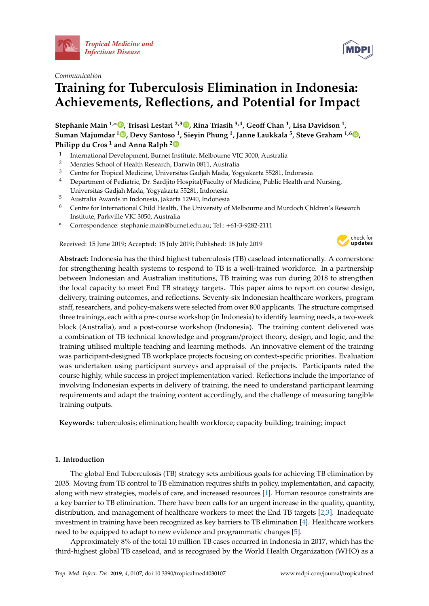

# *Communication*

# **Training for Tuberculosis Elimination in Indonesia: Achievements, Reflections, and Potential for Impact**

**Stephanie Main 1,\* [,](https://orcid.org/0000-0002-2517-8716) Trisasi Lestari 2,3 [,](https://orcid.org/0000-0002-4799-5338) Rina Triasih 3,4, Geo**ff **Chan <sup>1</sup> , Lisa Davidson <sup>1</sup> , Suman Majumdar <sup>1</sup> [,](https://orcid.org/0000-0002-9656-557X) Devy Santoso <sup>1</sup> , Sieyin Phung <sup>1</sup> , Janne Laukkala <sup>5</sup> , Steve Graham 1,6 [,](https://orcid.org/0000-0003-3525-2294) Philipp du Cros <sup>1</sup> and Anna Ralph [2](https://orcid.org/0000-0002-2253-5749)**

- 1 International Development, Burnet Institute, Melbourne VIC 3000, Australia
- <sup>2</sup> Menzies School of Health Research, Darwin 0811, Australia
- <sup>3</sup> Centre for Tropical Medicine, Universitas Gadjah Mada, Yogyakarta 55281, Indonesia
- <sup>4</sup> Department of Pediatric, Dr. Sardjito Hospital/Faculty of Medicine, Public Health and Nursing, Universitas Gadjah Mada, Yogyakarta 55281, Indonesia
- <sup>5</sup> Australia Awards in Indonesia, Jakarta 12940, Indonesia
- <sup>6</sup> Centre for International Child Health, The University of Melbourne and Murdoch Chldren's Research Institute, Parkville VIC 3050, Australia
- **\*** Correspondence: stephanie.main@burnet.edu.au; Tel.: +61-3-9282-2111

Received: 15 June 2019; Accepted: 15 July 2019; Published: 18 July 2019



**Abstract:** Indonesia has the third highest tuberculosis (TB) caseload internationally. A cornerstone for strengthening health systems to respond to TB is a well-trained workforce. In a partnership between Indonesian and Australian institutions, TB training was run during 2018 to strengthen the local capacity to meet End TB strategy targets. This paper aims to report on course design, delivery, training outcomes, and reflections. Seventy-six Indonesian healthcare workers, program staff, researchers, and policy-makers were selected from over 800 applicants. The structure comprised three trainings, each with a pre-course workshop (in Indonesia) to identify learning needs, a two-week block (Australia), and a post-course workshop (Indonesia). The training content delivered was a combination of TB technical knowledge and program/project theory, design, and logic, and the training utilised multiple teaching and learning methods. An innovative element of the training was participant-designed TB workplace projects focusing on context-specific priorities. Evaluation was undertaken using participant surveys and appraisal of the projects. Participants rated the course highly, while success in project implementation varied. Reflections include the importance of involving Indonesian experts in delivery of training, the need to understand participant learning requirements and adapt the training content accordingly, and the challenge of measuring tangible training outputs.

**Keywords:** tuberculosis; elimination; health workforce; capacity building; training; impact

# **1. Introduction**

The global End Tuberculosis (TB) strategy sets ambitious goals for achieving TB elimination by 2035. Moving from TB control to TB elimination requires shifts in policy, implementation, and capacity, along with new strategies, models of care, and increased resources [\[1\]](#page-10-0). Human resource constraints are a key barrier to TB elimination. There have been calls for an urgent increase in the quality, quantity, distribution, and management of healthcare workers to meet the End TB targets [\[2](#page-10-1)[,3\]](#page-10-2). Inadequate investment in training have been recognized as key barriers to TB elimination [\[4\]](#page-10-3). Healthcare workers need to be equipped to adapt to new evidence and programmatic changes [\[5\]](#page-10-4).

Approximately 8% of the total 10 million TB cases occurred in Indonesia in 2017, which has the third-highest global TB caseload, and is recognised by the World Health Organization (WHO) as a

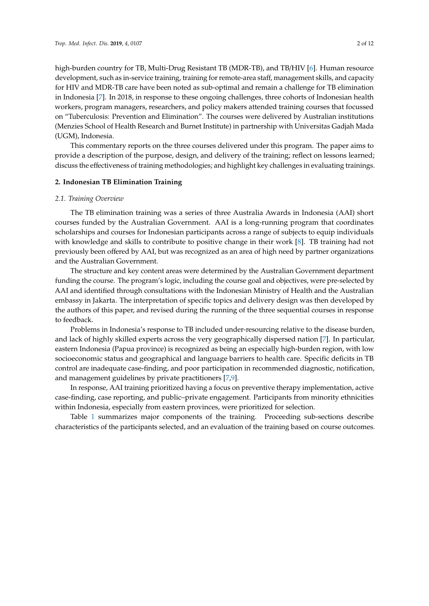high-burden country for TB, Multi-Drug Resistant TB (MDR-TB), and TB/HIV [\[6\]](#page-10-5). Human resource development, such as in-service training, training for remote-area staff, management skills, and capacity for HIV and MDR-TB care have been noted as sub-optimal and remain a challenge for TB elimination in Indonesia [\[7\]](#page-10-6). In 2018, in response to these ongoing challenges, three cohorts of Indonesian health workers, program managers, researchers, and policy makers attended training courses that focussed on "Tuberculosis: Prevention and Elimination". The courses were delivered by Australian institutions (Menzies School of Health Research and Burnet Institute) in partnership with Universitas Gadjah Mada (UGM), Indonesia.

This commentary reports on the three courses delivered under this program. The paper aims to provide a description of the purpose, design, and delivery of the training; reflect on lessons learned; discuss the effectiveness of training methodologies; and highlight key challenges in evaluating trainings.

# **2. Indonesian TB Elimination Training**

# *2.1. Training Overview*

The TB elimination training was a series of three Australia Awards in Indonesia (AAI) short courses funded by the Australian Government. AAI is a long-running program that coordinates scholarships and courses for Indonesian participants across a range of subjects to equip individuals with knowledge and skills to contribute to positive change in their work [\[8\]](#page-10-7). TB training had not previously been offered by AAI, but was recognized as an area of high need by partner organizations and the Australian Government.

The structure and key content areas were determined by the Australian Government department funding the course. The program's logic, including the course goal and objectives, were pre-selected by AAI and identified through consultations with the Indonesian Ministry of Health and the Australian embassy in Jakarta. The interpretation of specific topics and delivery design was then developed by the authors of this paper, and revised during the running of the three sequential courses in response to feedback.

Problems in Indonesia's response to TB included under-resourcing relative to the disease burden, and lack of highly skilled experts across the very geographically dispersed nation [\[7\]](#page-10-6). In particular, eastern Indonesia (Papua province) is recognized as being an especially high-burden region, with low socioeconomic status and geographical and language barriers to health care. Specific deficits in TB control are inadequate case-finding, and poor participation in recommended diagnostic, notification, and management guidelines by private practitioners [\[7](#page-10-6)[,9\]](#page-10-8).

In response, AAI training prioritized having a focus on preventive therapy implementation, active case-finding, case reporting, and public–private engagement. Participants from minority ethnicities within Indonesia, especially from eastern provinces, were prioritized for selection.

Table [1](#page-5-0) summarizes major components of the training. Proceeding sub-sections describe characteristics of the participants selected, and an evaluation of the training based on course outcomes.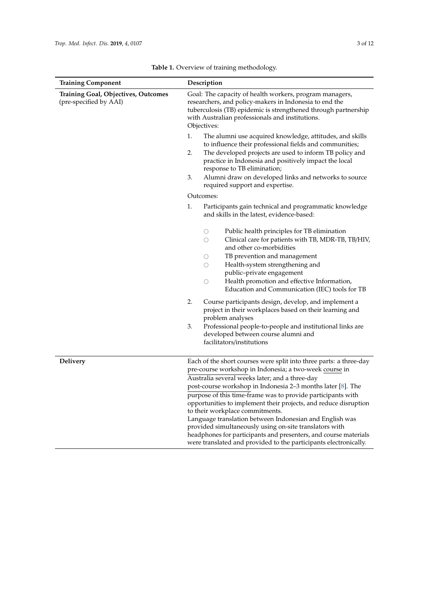| <b>Training Component</b>                                            | Description                                                                                                                                                                                                                                                                                                                                                                                                                                                                                                                                                                                                                                                                      |  |  |  |  |
|----------------------------------------------------------------------|----------------------------------------------------------------------------------------------------------------------------------------------------------------------------------------------------------------------------------------------------------------------------------------------------------------------------------------------------------------------------------------------------------------------------------------------------------------------------------------------------------------------------------------------------------------------------------------------------------------------------------------------------------------------------------|--|--|--|--|
| <b>Training Goal, Objectives, Outcomes</b><br>(pre-specified by AAI) | Goal: The capacity of health workers, program managers,<br>researchers, and policy-makers in Indonesia to end the<br>tuberculosis (TB) epidemic is strengthened through partnership<br>with Australian professionals and institutions.<br>Objectives:                                                                                                                                                                                                                                                                                                                                                                                                                            |  |  |  |  |
|                                                                      | 1.<br>The alumni use acquired knowledge, attitudes, and skills<br>to influence their professional fields and communities;<br>2.<br>The developed projects are used to inform TB policy and<br>practice in Indonesia and positively impact the local<br>response to TB elimination;<br>3.<br>Alumni draw on developed links and networks to source<br>required support and expertise.                                                                                                                                                                                                                                                                                             |  |  |  |  |
|                                                                      | Outcomes:                                                                                                                                                                                                                                                                                                                                                                                                                                                                                                                                                                                                                                                                        |  |  |  |  |
|                                                                      | 1.<br>Participants gain technical and programmatic knowledge<br>and skills in the latest, evidence-based:                                                                                                                                                                                                                                                                                                                                                                                                                                                                                                                                                                        |  |  |  |  |
|                                                                      | Public health principles for TB elimination<br>О<br>Clinical care for patients with TB, MDR-TB, TB/HIV,<br>O<br>and other co-morbidities<br>TB prevention and management<br>О<br>Health-system strengthening and<br>О<br>public-private engagement<br>Health promotion and effective Information,<br>$\bigcirc$<br>Education and Communication (IEC) tools for TB<br>2.<br>Course participants design, develop, and implement a<br>project in their workplaces based on their learning and<br>problem analyses<br>3.<br>Professional people-to-people and institutional links are<br>developed between course alumni and<br>facilitators/institutions                            |  |  |  |  |
| <b>Delivery</b>                                                      | Each of the short courses were split into three parts: a three-day<br>pre-course workshop in Indonesia; a two-week course in<br>Australia several weeks later; and a three-day<br>post-course workshop in Indonesia 2–3 months later [8]. The<br>purpose of this time-frame was to provide participants with<br>opportunities to implement their projects, and reduce disruption<br>to their workplace commitments.<br>Language translation between Indonesian and English was<br>provided simultaneously using on-site translators with<br>headphones for participants and presenters, and course materials<br>were translated and provided to the participants electronically. |  |  |  |  |

**Table 1.** Overview of training methodology.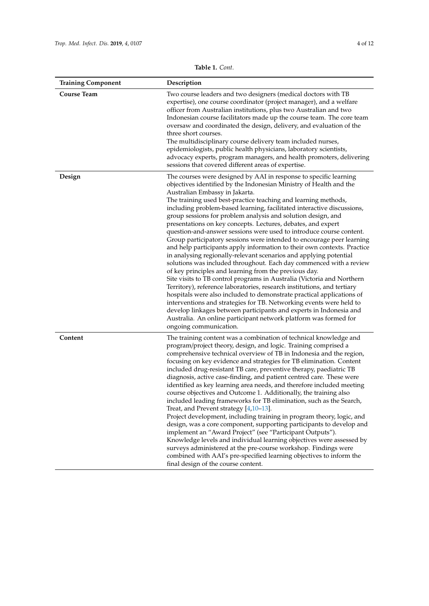|  | <b>Table 1.</b> Cont. |
|--|-----------------------|
|--|-----------------------|

| <b>Training Component</b> | Description                                                                                                                                                                                                                                                                                                                                                                                                                                                                                                                                                                                                                                                                                                                                                                                                                                                                                                                                                                                                                                                                                                                                                                                                                                                                                                                                                    |
|---------------------------|----------------------------------------------------------------------------------------------------------------------------------------------------------------------------------------------------------------------------------------------------------------------------------------------------------------------------------------------------------------------------------------------------------------------------------------------------------------------------------------------------------------------------------------------------------------------------------------------------------------------------------------------------------------------------------------------------------------------------------------------------------------------------------------------------------------------------------------------------------------------------------------------------------------------------------------------------------------------------------------------------------------------------------------------------------------------------------------------------------------------------------------------------------------------------------------------------------------------------------------------------------------------------------------------------------------------------------------------------------------|
| <b>Course Team</b>        | Two course leaders and two designers (medical doctors with TB<br>expertise), one course coordinator (project manager), and a welfare<br>officer from Australian institutions, plus two Australian and two<br>Indonesian course facilitators made up the course team. The core team<br>oversaw and coordinated the design, delivery, and evaluation of the<br>three short courses.<br>The multidisciplinary course delivery team included nurses,<br>epidemiologists, public health physicians, laboratory scientists,<br>advocacy experts, program managers, and health promoters, delivering<br>sessions that covered different areas of expertise.                                                                                                                                                                                                                                                                                                                                                                                                                                                                                                                                                                                                                                                                                                           |
| Design                    | The courses were designed by AAI in response to specific learning<br>objectives identified by the Indonesian Ministry of Health and the<br>Australian Embassy in Jakarta.<br>The training used best-practice teaching and learning methods,<br>including problem-based learning, facilitated interactive discussions,<br>group sessions for problem analysis and solution design, and<br>presentations on key concepts. Lectures, debates, and expert<br>question-and-answer sessions were used to introduce course content.<br>Group participatory sessions were intended to encourage peer learning<br>and help participants apply information to their own contexts. Practice<br>in analysing regionally-relevant scenarios and applying potential<br>solutions was included throughout. Each day commenced with a review<br>of key principles and learning from the previous day.<br>Site visits to TB control programs in Australia (Victoria and Northern<br>Territory), reference laboratories, research institutions, and tertiary<br>hospitals were also included to demonstrate practical applications of<br>interventions and strategies for TB. Networking events were held to<br>develop linkages between participants and experts in Indonesia and<br>Australia. An online participant network platform was formed for<br>ongoing communication. |
| Content                   | The training content was a combination of technical knowledge and<br>program/project theory, design, and logic. Training comprised a<br>comprehensive technical overview of TB in Indonesia and the region,<br>focusing on key evidence and strategies for TB elimination. Content<br>included drug-resistant TB care, preventive therapy, paediatric TB<br>diagnosis, active case-finding, and patient centred care. These were<br>identified as key learning area needs, and therefore included meeting<br>course objectives and Outcome 1. Additionally, the training also<br>included leading frameworks for TB elimination, such as the Search,<br>Treat, and Prevent strategy [4,10-13].<br>Project development, including training in program theory, logic, and<br>design, was a core component, supporting participants to develop and<br>implement an "Award Project" (see "Participant Outputs").<br>Knowledge levels and individual learning objectives were assessed by<br>surveys administered at the pre-course workshop. Findings were<br>combined with AAI's pre-specified learning objectives to inform the<br>final design of the course content.                                                                                                                                                                                           |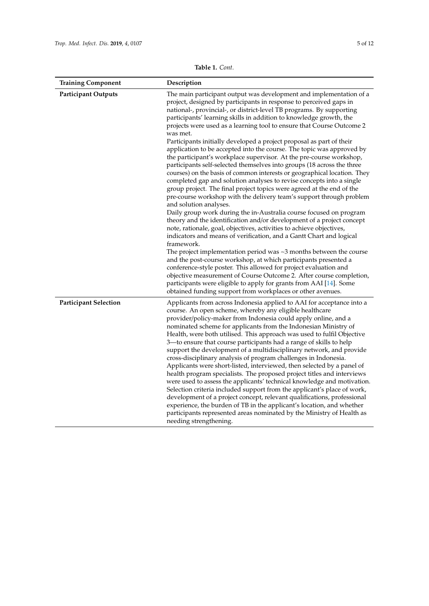|  | <b>Table 1.</b> Cont. |
|--|-----------------------|
|--|-----------------------|

| <b>Training Component</b>    | Description                                                                                                                                                                                                                                                                                                                                                                                                                                                                                                                                                                                                                                                                                                                                                                                                                                                                                                                                                                                                                                                                                                                                                                                                                                                                                                                                                                                                                                                                                                                                                                                                                                                                                                                                             |
|------------------------------|---------------------------------------------------------------------------------------------------------------------------------------------------------------------------------------------------------------------------------------------------------------------------------------------------------------------------------------------------------------------------------------------------------------------------------------------------------------------------------------------------------------------------------------------------------------------------------------------------------------------------------------------------------------------------------------------------------------------------------------------------------------------------------------------------------------------------------------------------------------------------------------------------------------------------------------------------------------------------------------------------------------------------------------------------------------------------------------------------------------------------------------------------------------------------------------------------------------------------------------------------------------------------------------------------------------------------------------------------------------------------------------------------------------------------------------------------------------------------------------------------------------------------------------------------------------------------------------------------------------------------------------------------------------------------------------------------------------------------------------------------------|
| <b>Participant Outputs</b>   | The main participant output was development and implementation of a<br>project, designed by participants in response to perceived gaps in<br>national-, provincial-, or district-level TB programs. By supporting<br>participants' learning skills in addition to knowledge growth, the<br>projects were used as a learning tool to ensure that Course Outcome 2<br>was met.<br>Participants initially developed a project proposal as part of their<br>application to be accepted into the course. The topic was approved by<br>the participant's workplace supervisor. At the pre-course workshop,<br>participants self-selected themselves into groups (18 across the three<br>courses) on the basis of common interests or geographical location. They<br>completed gap and solution analyses to revise concepts into a single<br>group project. The final project topics were agreed at the end of the<br>pre-course workshop with the delivery team's support through problem<br>and solution analyses.<br>Daily group work during the in-Australia course focused on program<br>theory and the identification and/or development of a project concept<br>note, rationale, goal, objectives, activities to achieve objectives,<br>indicators and means of verification, and a Gantt Chart and logical<br>framework.<br>The project implementation period was $\sim$ 3 months between the course<br>and the post-course workshop, at which participants presented a<br>conference-style poster. This allowed for project evaluation and<br>objective measurement of Course Outcome 2. After course completion,<br>participants were eligible to apply for grants from AAI [14]. Some<br>obtained funding support from workplaces or other avenues. |
| <b>Participant Selection</b> | Applicants from across Indonesia applied to AAI for acceptance into a<br>course. An open scheme, whereby any eligible healthcare<br>provider/policy-maker from Indonesia could apply online, and a<br>nominated scheme for applicants from the Indonesian Ministry of<br>Health, were both utilised. This approach was used to fulfil Objective<br>3-to ensure that course participants had a range of skills to help<br>support the development of a multidisciplinary network, and provide<br>cross-disciplinary analysis of program challenges in Indonesia.<br>Applicants were short-listed, interviewed, then selected by a panel of<br>health program specialists. The proposed project titles and interviews<br>were used to assess the applicants' technical knowledge and motivation.<br>Selection criteria included support from the applicant's place of work,<br>development of a project concept, relevant qualifications, professional<br>experience, the burden of TB in the applicant's location, and whether<br>participants represented areas nominated by the Ministry of Health as<br>needing strengthening.                                                                                                                                                                                                                                                                                                                                                                                                                                                                                                                                                                                                                        |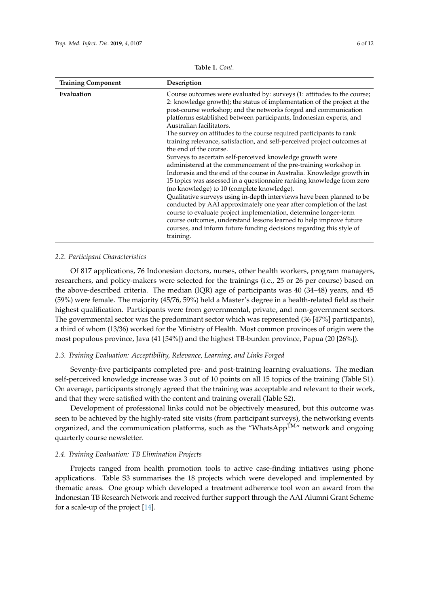<span id="page-5-0"></span>

| <b>Training Component</b> | Description                                                                                                                                                                                                                                                                                                                                                                                                                                                                    |
|---------------------------|--------------------------------------------------------------------------------------------------------------------------------------------------------------------------------------------------------------------------------------------------------------------------------------------------------------------------------------------------------------------------------------------------------------------------------------------------------------------------------|
| Evaluation                | Course outcomes were evaluated by: surveys (1: attitudes to the course;<br>2: knowledge growth); the status of implementation of the project at the<br>post-course workshop; and the networks forged and communication<br>platforms established between participants, Indonesian experts, and<br>Australian facilitators.                                                                                                                                                      |
|                           | The survey on attitudes to the course required participants to rank<br>training relevance, satisfaction, and self-perceived project outcomes at<br>the end of the course.                                                                                                                                                                                                                                                                                                      |
|                           | Surveys to ascertain self-perceived knowledge growth were<br>administered at the commencement of the pre-training workshop in<br>Indonesia and the end of the course in Australia. Knowledge growth in<br>15 topics was assessed in a questionnaire ranking knowledge from zero<br>(no knowledge) to 10 (complete knowledge).<br>Qualitative surveys using in-depth interviews have been planned to be<br>conducted by AAI approximately one year after completion of the last |
|                           | course to evaluate project implementation, determine longer-term<br>course outcomes, understand lessons learned to help improve future<br>courses, and inform future funding decisions regarding this style of<br>training.                                                                                                                                                                                                                                                    |

**Table 1.** *Cont.*

## *2.2. Participant Characteristics*

Of 817 applications, 76 Indonesian doctors, nurses, other health workers, program managers, researchers, and policy-makers were selected for the trainings (i.e., 25 or 26 per course) based on the above-described criteria. The median (IQR) age of participants was 40 (34–48) years, and 45 (59%) were female. The majority (45/76, 59%) held a Master's degree in a health-related field as their highest qualification. Participants were from governmental, private, and non-government sectors. The governmental sector was the predominant sector which was represented (36 [47%] participants), a third of whom (13/36) worked for the Ministry of Health. Most common provinces of origin were the most populous province, Java (41 [54%]) and the highest TB-burden province, Papua (20 [26%]).

# *2.3. Training Evaluation: Acceptibility, Relevance, Learning, and Links Forged*

Seventy-five participants completed pre- and post-training learning evaluations. The median self-perceived knowledge increase was 3 out of 10 points on all 15 topics of the training (Table S1). On average, participants strongly agreed that the training was acceptable and relevant to their work, and that they were satisfied with the content and training overall (Table S2).

Development of professional links could not be objectively measured, but this outcome was seen to be achieved by the highly-rated site visits (from participant surveys), the networking events organized, and the communication platforms, such as the "WhatsApp $^{TM}$ " network and ongoing quarterly course newsletter.

### *2.4. Training Evaluation: TB Elimination Projects*

Projects ranged from health promotion tools to active case-finding intiatives using phone applications. Table S3 summarises the 18 projects which were developed and implemented by thematic areas. One group which developed a treatment adherence tool won an award from the Indonesian TB Research Network and received further support through the AAI Alumni Grant Scheme for a scale-up of the project [\[14\]](#page-10-11).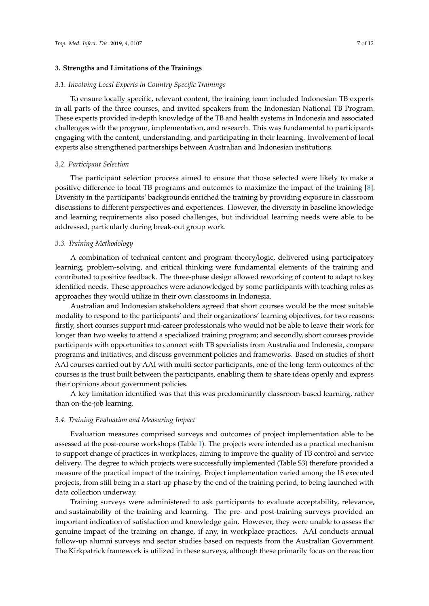# **3. Strengths and Limitations of the Trainings**

#### *3.1. Involving Local Experts in Country Specific Trainings*

To ensure locally specific, relevant content, the training team included Indonesian TB experts in all parts of the three courses, and invited speakers from the Indonesian National TB Program. These experts provided in-depth knowledge of the TB and health systems in Indonesia and associated challenges with the program, implementation, and research. This was fundamental to participants engaging with the content, understanding, and participating in their learning. Involvement of local experts also strengthened partnerships between Australian and Indonesian institutions.

#### *3.2. Participant Selection*

The participant selection process aimed to ensure that those selected were likely to make a positive difference to local TB programs and outcomes to maximize the impact of the training [\[8\]](#page-10-7). Diversity in the participants' backgrounds enriched the training by providing exposure in classroom discussions to different perspectives and experiences. However, the diversity in baseline knowledge and learning requirements also posed challenges, but individual learning needs were able to be addressed, particularly during break-out group work.

#### *3.3. Training Methodology*

A combination of technical content and program theory/logic, delivered using participatory learning, problem-solving, and critical thinking were fundamental elements of the training and contributed to positive feedback. The three-phase design allowed reworking of content to adapt to key identified needs. These approaches were acknowledged by some participants with teaching roles as approaches they would utilize in their own classrooms in Indonesia.

Australian and Indonesian stakeholders agreed that short courses would be the most suitable modality to respond to the participants' and their organizations' learning objectives, for two reasons: firstly, short courses support mid-career professionals who would not be able to leave their work for longer than two weeks to attend a specialized training program; and secondly, short courses provide participants with opportunities to connect with TB specialists from Australia and Indonesia, compare programs and initiatives, and discuss government policies and frameworks. Based on studies of short AAI courses carried out by AAI with multi-sector participants, one of the long-term outcomes of the courses is the trust built between the participants, enabling them to share ideas openly and express their opinions about government policies.

A key limitation identified was that this was predominantly classroom-based learning, rather than on-the-job learning.

# *3.4. Training Evaluation and Measuring Impact*

Evaluation measures comprised surveys and outcomes of project implementation able to be assessed at the post-course workshops (Table [1\)](#page-5-0). The projects were intended as a practical mechanism to support change of practices in workplaces, aiming to improve the quality of TB control and service delivery. The degree to which projects were successfully implemented (Table S3) therefore provided a measure of the practical impact of the training. Project implementation varied among the 18 executed projects, from still being in a start-up phase by the end of the training period, to being launched with data collection underway.

Training surveys were administered to ask participants to evaluate acceptability, relevance, and sustainability of the training and learning. The pre- and post-training surveys provided an important indication of satisfaction and knowledge gain. However, they were unable to assess the genuine impact of the training on change, if any, in workplace practices. AAI conducts annual follow-up alumni surveys and sector studies based on requests from the Australian Government. The Kirkpatrick framework is utilized in these surveys, although these primarily focus on the reaction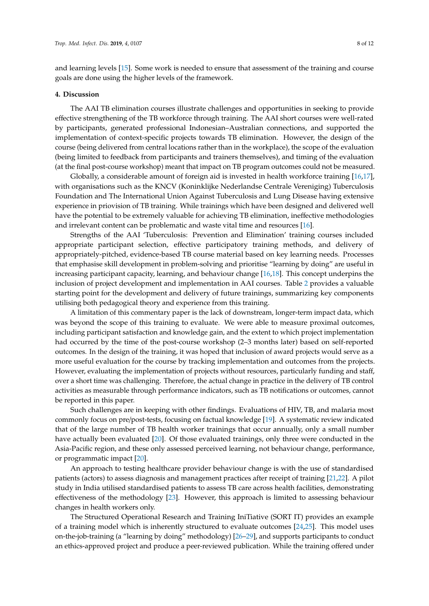and learning levels [\[15\]](#page-11-0). Some work is needed to ensure that assessment of the training and course goals are done using the higher levels of the framework.

#### **4. Discussion**

The AAI TB elimination courses illustrate challenges and opportunities in seeking to provide effective strengthening of the TB workforce through training. The AAI short courses were well-rated by participants, generated professional Indonesian–Australian connections, and supported the implementation of context-specific projects towards TB elimination. However, the design of the course (being delivered from central locations rather than in the workplace), the scope of the evaluation (being limited to feedback from participants and trainers themselves), and timing of the evaluation (at the final post-course workshop) meant that impact on TB program outcomes could not be measured.

Globally, a considerable amount of foreign aid is invested in health workforce training [\[16,](#page-11-1)[17\]](#page-11-2), with organisations such as the KNCV (Koninklijke Nederlandse Centrale Vereniging) Tuberculosis Foundation and The International Union Against Tuberculosis and Lung Disease having extensive experience in priovision of TB training. While trainings which have been designed and delivered well have the potential to be extremely valuable for achieving TB elimination, ineffective methodologies and irrelevant content can be problematic and waste vital time and resources [\[16\]](#page-11-1).

Strengths of the AAI 'Tuberculosis: Prevention and Elimination' training courses included appropriate participant selection, effective participatory training methods, and delivery of appropriately-pitched, evidence-based TB course material based on key learning needs. Processes that emphasise skill development in problem-solving and prioritise "learning by doing" are useful in increasing participant capacity, learning, and behaviour change [\[16,](#page-11-1)[18\]](#page-11-3). This concept underpins the inclusion of project development and implementation in AAI courses. Table [2](#page-9-0) provides a valuable starting point for the development and delivery of future trainings, summarizing key components utilising both pedagogical theory and experience from this training.

A limitation of this commentary paper is the lack of downstream, longer-term impact data, which was beyond the scope of this training to evaluate. We were able to measure proximal outcomes, including participant satisfaction and knowledge gain, and the extent to which project implementation had occurred by the time of the post-course workshop (2–3 months later) based on self-reported outcomes. In the design of the training, it was hoped that inclusion of award projects would serve as a more useful evaluation for the course by tracking implementation and outcomes from the projects. However, evaluating the implementation of projects without resources, particularly funding and staff, over a short time was challenging. Therefore, the actual change in practice in the delivery of TB control activities as measurable through performance indicators, such as TB notifications or outcomes, cannot be reported in this paper.

Such challenges are in keeping with other findings. Evaluations of HIV, TB, and malaria most commonly focus on pre/post-tests, focusing on factual knowledge [\[19\]](#page-11-4). A systematic review indicated that of the large number of TB health worker trainings that occur annually, only a small number have actually been evaluated [\[20\]](#page-11-5). Of those evaluated trainings, only three were conducted in the Asia-Pacific region, and these only assessed perceived learning, not behaviour change, performance, or programmatic impact [\[20\]](#page-11-5).

An approach to testing healthcare provider behaviour change is with the use of standardised patients (actors) to assess diagnosis and management practices after receipt of training [\[21](#page-11-6)[,22\]](#page-11-7). A pilot study in India utilised standardised patients to assess TB care across health facilities, demonstrating effectiveness of the methodology [\[23\]](#page-11-8). However, this approach is limited to assessing behaviour changes in health workers only.

The Structured Operational Research and Training IniTiative (SORT IT) provides an example of a training model which is inherently structured to evaluate outcomes [\[24](#page-11-9)[,25\]](#page-11-10). This model uses on-the-job-training (a "learning by doing" methodology) [\[26–](#page-11-11)[29\]](#page-11-12), and supports participants to conduct an ethics-approved project and produce a peer-reviewed publication. While the training offered under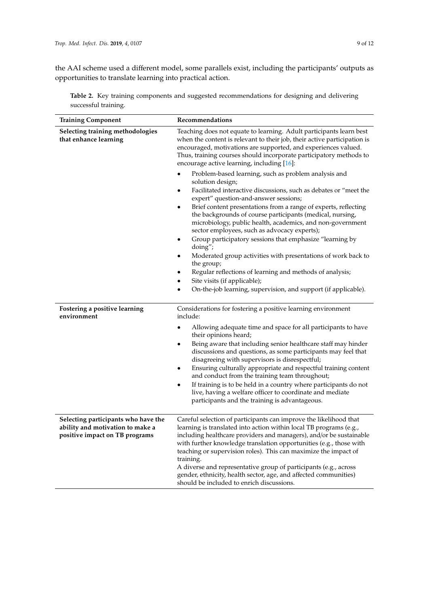the AAI scheme used a different model, some parallels exist, including the participants' outputs as opportunities to translate learning into practical action.

|                      |  | Table 2. Key training components and suggested recommendations for designing and delivering |  |  |
|----------------------|--|---------------------------------------------------------------------------------------------|--|--|
| successful training. |  |                                                                                             |  |  |
|                      |  |                                                                                             |  |  |

| <b>Training Component</b>                                          | Recommendations                                                                                                                                                                                                                                                                                                                                                     |  |  |  |
|--------------------------------------------------------------------|---------------------------------------------------------------------------------------------------------------------------------------------------------------------------------------------------------------------------------------------------------------------------------------------------------------------------------------------------------------------|--|--|--|
| Selecting training methodologies<br>that enhance learning          | Teaching does not equate to learning. Adult participants learn best<br>when the content is relevant to their job, their active participation is<br>encouraged, motivations are supported, and experiences valued.<br>Thus, training courses should incorporate participatory methods to<br>encourage active learning, including [16]:                               |  |  |  |
|                                                                    | Problem-based learning, such as problem analysis and<br>solution design;                                                                                                                                                                                                                                                                                            |  |  |  |
|                                                                    | Facilitated interactive discussions, such as debates or "meet the<br>expert" question-and-answer sessions;                                                                                                                                                                                                                                                          |  |  |  |
|                                                                    | Brief content presentations from a range of experts, reflecting<br>$\bullet$<br>the backgrounds of course participants (medical, nursing,<br>microbiology, public health, academics, and non-government<br>sector employees, such as advocacy experts);                                                                                                             |  |  |  |
|                                                                    | Group participatory sessions that emphasize "learning by<br>٠<br>doing";                                                                                                                                                                                                                                                                                            |  |  |  |
|                                                                    | Moderated group activities with presentations of work back to<br>$\bullet$<br>the group;                                                                                                                                                                                                                                                                            |  |  |  |
|                                                                    | Regular reflections of learning and methods of analysis;<br>Site visits (if applicable);                                                                                                                                                                                                                                                                            |  |  |  |
|                                                                    | On-the-job learning, supervision, and support (if applicable).                                                                                                                                                                                                                                                                                                      |  |  |  |
| Fostering a positive learning<br>environment                       | Considerations for fostering a positive learning environment<br>include:                                                                                                                                                                                                                                                                                            |  |  |  |
|                                                                    | Allowing adequate time and space for all participants to have<br>٠<br>their opinions heard;                                                                                                                                                                                                                                                                         |  |  |  |
|                                                                    | Being aware that including senior healthcare staff may hinder<br>$\bullet$<br>discussions and questions, as some participants may feel that<br>disagreeing with supervisors is disrespectful;                                                                                                                                                                       |  |  |  |
|                                                                    | Ensuring culturally appropriate and respectful training content<br>$\bullet$<br>and conduct from the training team throughout;                                                                                                                                                                                                                                      |  |  |  |
|                                                                    | If training is to be held in a country where participants do not<br>live, having a welfare officer to coordinate and mediate<br>participants and the training is advantageous.                                                                                                                                                                                      |  |  |  |
| Selecting participants who have the                                | Careful selection of participants can improve the likelihood that                                                                                                                                                                                                                                                                                                   |  |  |  |
| ability and motivation to make a<br>positive impact on TB programs | learning is translated into action within local TB programs (e.g.,<br>including healthcare providers and managers), and/or be sustainable<br>with further knowledge translation opportunities (e.g., those with<br>teaching or supervision roles). This can maximize the impact of<br>training.<br>A diverse and representative group of participants (e.g., across |  |  |  |
|                                                                    | gender, ethnicity, health sector, age, and affected communities)<br>should be included to enrich discussions.                                                                                                                                                                                                                                                       |  |  |  |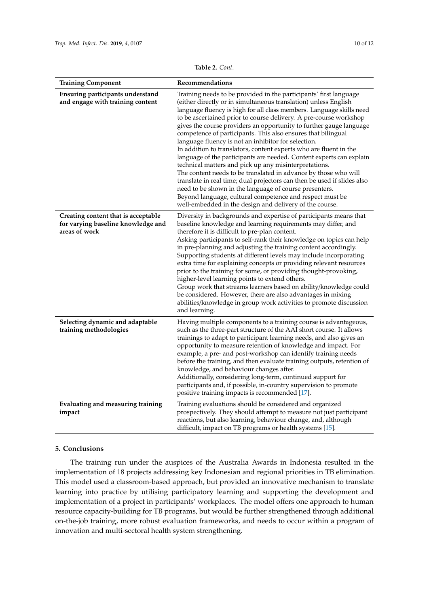<span id="page-9-0"></span>

| <b>Training Component</b>                                                                  | Recommendations                                                                                                                                                                                                                                                                                                                                                                                                                                                                                                                                                                                                                                                                                                                                                                                                                                                                                                                                                                                                      |
|--------------------------------------------------------------------------------------------|----------------------------------------------------------------------------------------------------------------------------------------------------------------------------------------------------------------------------------------------------------------------------------------------------------------------------------------------------------------------------------------------------------------------------------------------------------------------------------------------------------------------------------------------------------------------------------------------------------------------------------------------------------------------------------------------------------------------------------------------------------------------------------------------------------------------------------------------------------------------------------------------------------------------------------------------------------------------------------------------------------------------|
| Ensuring participants understand<br>and engage with training content                       | Training needs to be provided in the participants' first language<br>(either directly or in simultaneous translation) unless English<br>language fluency is high for all class members. Language skills need<br>to be ascertained prior to course delivery. A pre-course workshop<br>gives the course providers an opportunity to further gauge language<br>competence of participants. This also ensures that bilingual<br>language fluency is not an inhibitor for selection.<br>In addition to translators, content experts who are fluent in the<br>language of the participants are needed. Content experts can explain<br>technical matters and pick up any misinterpretations.<br>The content needs to be translated in advance by those who will<br>translate in real time; dual projectors can then be used if slides also<br>need to be shown in the language of course presenters.<br>Beyond language, cultural competence and respect must be<br>well-embedded in the design and delivery of the course. |
| Creating content that is acceptable<br>for varying baseline knowledge and<br>areas of work | Diversity in backgrounds and expertise of participants means that<br>baseline knowledge and learning requirements may differ, and<br>therefore it is difficult to pre-plan content.<br>Asking participants to self-rank their knowledge on topics can help<br>in pre-planning and adjusting the training content accordingly.<br>Supporting students at different levels may include incorporating<br>extra time for explaining concepts or providing relevant resources<br>prior to the training for some, or providing thought-provoking,<br>higher-level learning points to extend others.<br>Group work that streams learners based on ability/knowledge could<br>be considered. However, there are also advantages in mixing<br>abilities/knowledge in group work activities to promote discussion<br>and learning.                                                                                                                                                                                             |
| Selecting dynamic and adaptable<br>training methodologies                                  | Having multiple components to a training course is advantageous,<br>such as the three-part structure of the AAI short course. It allows<br>trainings to adapt to participant learning needs, and also gives an<br>opportunity to measure retention of knowledge and impact. For<br>example, a pre- and post-workshop can identify training needs<br>before the training, and then evaluate training outputs, retention of                                                                                                                                                                                                                                                                                                                                                                                                                                                                                                                                                                                            |

knowledge, and behaviour changes after.

positive training impacts is recommended [\[17\]](#page-11-2).

Additionally, considering long-term, continued support for participants and, if possible, in-country supervision to promote

Training evaluations should be considered and organized

prospectively. They should attempt to measure not just participant reactions, but also learning, behaviour change, and, although difficult, impact on TB programs or health systems [\[15\]](#page-11-0).

**Table 2.** *Cont.*

# **5. Conclusions**

**impact**

**Evaluating and measuring training**

The training run under the auspices of the Australia Awards in Indonesia resulted in the implementation of 18 projects addressing key Indonesian and regional priorities in TB elimination. This model used a classroom-based approach, but provided an innovative mechanism to translate learning into practice by utilising participatory learning and supporting the development and implementation of a project in participants' workplaces. The model offers one approach to human resource capacity-building for TB programs, but would be further strengthened through additional on-the-job training, more robust evaluation frameworks, and needs to occur within a program of innovation and multi-sectoral health system strengthening.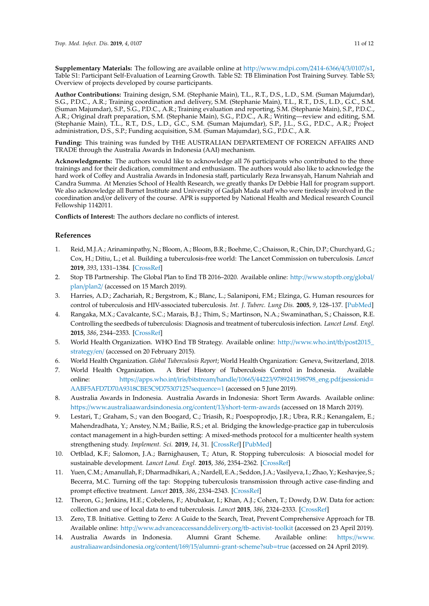**Supplementary Materials:** The following are available online at http://[www.mdpi.com](http://www.mdpi.com/2414-6366/4/3/0107/s1)/2414-6366/4/3/0107/s1, Table S1: Participant Self-Evaluation of Learning Growth. Table S2: TB Elimination Post Training Survey. Table S3; Overview of projects developed by course participants.

**Author Contributions:** Training design, S.M. (Stephanie Main), T.L., R.T., D.S., L.D., S.M. (Suman Majumdar), S.G., P.D.C., A.R.; Training coordination and delivery, S.M. (Stephanie Main), T.L., R.T., D.S., L.D., G.C., S.M. (Suman Majumdar), S.P., S.G., P.D.C., A.R.; Training evaluation and reporting, S.M. (Stephanie Main), S.P., P.D.C., A.R.; Original draft preparation, S.M. (Stephanie Main), S.G., P.D.C., A.R.; Writing—review and editing, S.M. (Stephanie Main), T.L., R.T., D.S., L.D., G.C., S.M. (Suman Majumdar), S.P., J.L., S.G., P.D.C., A.R.; Project administration, D.S., S.P.; Funding acquisition, S.M. (Suman Majumdar), S.G., P.D.C., A.R.

**Funding:** This training was funded by THE AUSTRALIAN DEPARTEMENT OF FOREIGN AFFAIRS AND TRADE through the Australia Awards in Indonesia (AAI) mechanism.

**Acknowledgments:** The authors would like to acknowledge all 76 participants who contributed to the three trainings and for their dedication, commitment and enthusiasm. The authors would also like to acknowledge the hard work of Coffey and Australia Awards in Indonesia staff, particularly Reza Irwansyah, Hanum Nahriah and Candra Summa. At Menzies School of Health Research, we greatly thanks Dr Debbie Hall for program support. We also acknowledge all Burnet Institute and University of Gadjah Mada staff who were tirelessly involved in the coordination and/or delivery of the course. APR is supported by National Health and Medical research Council Fellowship 1142011.

**Conflicts of Interest:** The authors declare no conflicts of interest.

# **References**

- <span id="page-10-0"></span>1. Reid, M.J.A.; Arinaminpathy, N.; Bloom, A.; Bloom, B.R.; Boehme, C.; Chaisson, R.; Chin, D.P.; Churchyard, G.; Cox, H.; Ditiu, L.; et al. Building a tuberculosis-free world: The Lancet Commission on tuberculosis. *Lancet* **2019**, *393*, 1331–1384. [\[CrossRef\]](http://dx.doi.org/10.1016/S0140-6736(19)30024-8)
- <span id="page-10-1"></span>2. Stop TB Partnership. The Global Plan to End TB 2016–2020. Available online: http://[www.stoptb.org](http://www.stoptb.org/global/plan/plan2/)/global/ plan/[plan2](http://www.stoptb.org/global/plan/plan2/)/ (accessed on 15 March 2019).
- <span id="page-10-2"></span>3. Harries, A.D.; Zachariah, R.; Bergstrom, K.; Blanc, L.; Salaniponi, F.M.; Elzinga, G. Human resources for control of tuberculosis and HIV-associated tuberculosis. *Int. J. Tuberc. Lung Dis.* **2005**, *9*, 128–137. [\[PubMed\]](http://www.ncbi.nlm.nih.gov/pubmed/15732730)
- <span id="page-10-3"></span>4. Rangaka, M.X.; Cavalcante, S.C.; Marais, B.J.; Thim, S.; Martinson, N.A.; Swaminathan, S.; Chaisson, R.E. Controlling the seedbeds of tuberculosis: Diagnosis and treatment of tuberculosis infection. *Lancet Lond. Engl.* **2015**, *386*, 2344–2353. [\[CrossRef\]](http://dx.doi.org/10.1016/S0140-6736(15)00323-2)
- <span id="page-10-4"></span>5. World Health Organization. WHO End TB Strategy. Available online: http://[www.who.int](http://www.who.int/tb/post2015_strategy/en/)/tb/post2015\_ [strategy](http://www.who.int/tb/post2015_strategy/en/)/en/ (accessed on 20 February 2015).
- <span id="page-10-5"></span>6. World Health Organization. *Global Tuberculosis Report*; World Health Organization: Geneva, Switzerland, 2018.
- <span id="page-10-6"></span>7. World Health Organization. A Brief History of Tuberculosis Control in Indonesia. Available online: https://apps.who.int/iris/bitstream/handle/10665/44223/[9789241598798\\_eng.pdf;jsessionid](https://apps.who.int/iris/bitstream/handle/10665/44223/9789241598798_eng.pdf;jsessionid=AABF5AFD7D70A9318CBE5C9D75307125?sequence=1)= [AABF5AFD7D70A9318CBE5C9D75307125?sequence](https://apps.who.int/iris/bitstream/handle/10665/44223/9789241598798_eng.pdf;jsessionid=AABF5AFD7D70A9318CBE5C9D75307125?sequence=1)=1 (accessed on 5 June 2019).
- <span id="page-10-7"></span>8. Australia Awards in Indonesia. Australia Awards in Indonesia: Short Term Awards. Available online: https://[www.australiaawardsindonesia.org](https://www.australiaawardsindonesia.org/content/13/short-term-awards)/content/13/short-term-awards (accessed on 18 March 2019).
- <span id="page-10-8"></span>9. Lestari, T.; Graham, S.; van den Boogard, C.; Triasih, R.; Poespoprodjo, J.R.; Ubra, R.R.; Kenangalem, E.; Mahendradhata, Y.; Anstey, N.M.; Bailie, R.S.; et al. Bridging the knowledge-practice gap in tuberculosis contact management in a high-burden setting: A mixed-methods protocol for a multicenter health system strengthening study. *Implement. Sci.* **2019**, *14*, 31. [\[CrossRef\]](http://dx.doi.org/10.1186/s13012-019-0870-x) [\[PubMed\]](http://www.ncbi.nlm.nih.gov/pubmed/30890160)
- <span id="page-10-9"></span>10. Ortblad, K.F.; Salomon, J.A.; Barnighausen, T.; Atun, R. Stopping tuberculosis: A biosocial model for sustainable development. *Lancet Lond. Engl.* **2015**, *386*, 2354–2362. [\[CrossRef\]](http://dx.doi.org/10.1016/S0140-6736(15)00324-4)
- 11. Yuen, C.M.; Amanullah, F.; Dharmadhikari, A.; Nardell, E.A.; Seddon, J.A.; Vasilyeva, I.; Zhao, Y.; Keshavjee, S.; Becerra, M.C. Turning off the tap: Stopping tuberculosis transmission through active case-finding and prompt effective treatment. *Lancet* **2015**, *386*, 2334–2343. [\[CrossRef\]](http://dx.doi.org/10.1016/S0140-6736(15)00322-0)
- 12. Theron, G.; Jenkins, H.E.; Cobelens, F.; Abubakar, I.; Khan, A.J.; Cohen, T.; Dowdy, D.W. Data for action: collection and use of local data to end tuberculosis. *Lancet* **2015**, *386*, 2324–2333. [\[CrossRef\]](http://dx.doi.org/10.1016/S0140-6736(15)00321-9)
- <span id="page-10-10"></span>13. Zero, T.B. Initiative. Getting to Zero: A Guide to the Search, Treat, Prevent Comprehensive Approach for TB. Available online: http://[www.advanceaccessanddelivery.org](http://www.advanceaccessanddelivery.org/tb-activist-toolkit)/tb-activist-toolkit (accessed on 23 April 2019).
- <span id="page-10-11"></span>14. Australia Awards in Indonesia. Alumni Grant Scheme. Available online: https://[www.](https://www.australiaawardsindonesia.org/content/169/15/alumni-grant-scheme?sub=true) [australiaawardsindonesia.org](https://www.australiaawardsindonesia.org/content/169/15/alumni-grant-scheme?sub=true)/content/169/15/alumni-grant-scheme?sub=true (accessed on 24 April 2019).